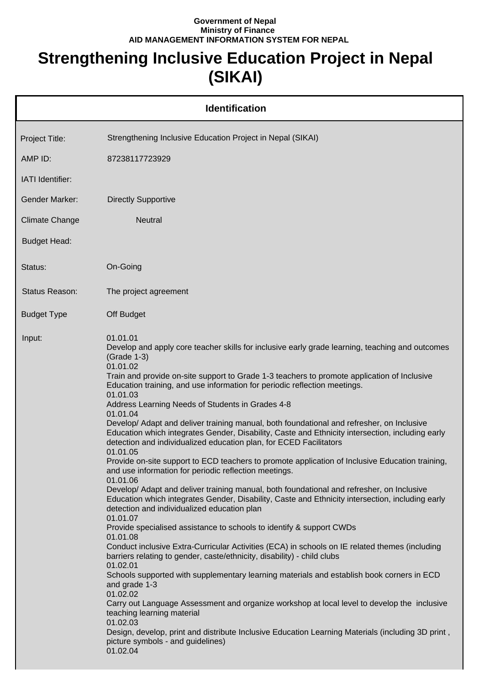## **Government of Nepal Ministry of Finance AID MANAGEMENT INFORMATION SYSTEM FOR NEPAL**

## **Strengthening Inclusive Education Project in Nepal (SIKAI)**

| <b>Identification</b>   |                                                                                                                                                                                                                                                                                                                                                                                                                                                                                                                                                                                                                                                                                                                                                                                                                                                                                                                                                                                                                                                                                                                                                                                                                                                                                                                                                                                                                                                                                                                                                                                                                                                                                                                                                                                                                             |  |  |
|-------------------------|-----------------------------------------------------------------------------------------------------------------------------------------------------------------------------------------------------------------------------------------------------------------------------------------------------------------------------------------------------------------------------------------------------------------------------------------------------------------------------------------------------------------------------------------------------------------------------------------------------------------------------------------------------------------------------------------------------------------------------------------------------------------------------------------------------------------------------------------------------------------------------------------------------------------------------------------------------------------------------------------------------------------------------------------------------------------------------------------------------------------------------------------------------------------------------------------------------------------------------------------------------------------------------------------------------------------------------------------------------------------------------------------------------------------------------------------------------------------------------------------------------------------------------------------------------------------------------------------------------------------------------------------------------------------------------------------------------------------------------------------------------------------------------------------------------------------------------|--|--|
| Project Title:          | Strengthening Inclusive Education Project in Nepal (SIKAI)                                                                                                                                                                                                                                                                                                                                                                                                                                                                                                                                                                                                                                                                                                                                                                                                                                                                                                                                                                                                                                                                                                                                                                                                                                                                                                                                                                                                                                                                                                                                                                                                                                                                                                                                                                  |  |  |
| AMP ID:                 | 87238117723929                                                                                                                                                                                                                                                                                                                                                                                                                                                                                                                                                                                                                                                                                                                                                                                                                                                                                                                                                                                                                                                                                                                                                                                                                                                                                                                                                                                                                                                                                                                                                                                                                                                                                                                                                                                                              |  |  |
| <b>IATI</b> Identifier: |                                                                                                                                                                                                                                                                                                                                                                                                                                                                                                                                                                                                                                                                                                                                                                                                                                                                                                                                                                                                                                                                                                                                                                                                                                                                                                                                                                                                                                                                                                                                                                                                                                                                                                                                                                                                                             |  |  |
| Gender Marker:          | <b>Directly Supportive</b>                                                                                                                                                                                                                                                                                                                                                                                                                                                                                                                                                                                                                                                                                                                                                                                                                                                                                                                                                                                                                                                                                                                                                                                                                                                                                                                                                                                                                                                                                                                                                                                                                                                                                                                                                                                                  |  |  |
| <b>Climate Change</b>   | <b>Neutral</b>                                                                                                                                                                                                                                                                                                                                                                                                                                                                                                                                                                                                                                                                                                                                                                                                                                                                                                                                                                                                                                                                                                                                                                                                                                                                                                                                                                                                                                                                                                                                                                                                                                                                                                                                                                                                              |  |  |
| <b>Budget Head:</b>     |                                                                                                                                                                                                                                                                                                                                                                                                                                                                                                                                                                                                                                                                                                                                                                                                                                                                                                                                                                                                                                                                                                                                                                                                                                                                                                                                                                                                                                                                                                                                                                                                                                                                                                                                                                                                                             |  |  |
| Status:                 | On-Going                                                                                                                                                                                                                                                                                                                                                                                                                                                                                                                                                                                                                                                                                                                                                                                                                                                                                                                                                                                                                                                                                                                                                                                                                                                                                                                                                                                                                                                                                                                                                                                                                                                                                                                                                                                                                    |  |  |
| Status Reason:          | The project agreement                                                                                                                                                                                                                                                                                                                                                                                                                                                                                                                                                                                                                                                                                                                                                                                                                                                                                                                                                                                                                                                                                                                                                                                                                                                                                                                                                                                                                                                                                                                                                                                                                                                                                                                                                                                                       |  |  |
| <b>Budget Type</b>      | Off Budget                                                                                                                                                                                                                                                                                                                                                                                                                                                                                                                                                                                                                                                                                                                                                                                                                                                                                                                                                                                                                                                                                                                                                                                                                                                                                                                                                                                                                                                                                                                                                                                                                                                                                                                                                                                                                  |  |  |
| Input:                  | 01.01.01<br>Develop and apply core teacher skills for inclusive early grade learning, teaching and outcomes<br>(Grade 1-3)<br>01.01.02<br>Train and provide on-site support to Grade 1-3 teachers to promote application of Inclusive<br>Education training, and use information for periodic reflection meetings.<br>01.01.03<br>Address Learning Needs of Students in Grades 4-8<br>01.01.04<br>Develop/ Adapt and deliver training manual, both foundational and refresher, on Inclusive<br>Education which integrates Gender, Disability, Caste and Ethnicity intersection, including early<br>detection and individualized education plan, for ECED Facilitators<br>01.01.05<br>Provide on-site support to ECD teachers to promote application of Inclusive Education training,<br>and use information for periodic reflection meetings.<br>01.01.06<br>Develop/ Adapt and deliver training manual, both foundational and refresher, on Inclusive<br>Education which integrates Gender, Disability, Caste and Ethnicity intersection, including early<br>detection and individualized education plan<br>01.01.07<br>Provide specialised assistance to schools to identify & support CWDs<br>01.01.08<br>Conduct inclusive Extra-Curricular Activities (ECA) in schools on IE related themes (including<br>barriers relating to gender, caste/ethnicity, disability) - child clubs<br>01.02.01<br>Schools supported with supplementary learning materials and establish book corners in ECD<br>and grade 1-3<br>01.02.02<br>Carry out Language Assessment and organize workshop at local level to develop the inclusive<br>teaching learning material<br>01.02.03<br>Design, develop, print and distribute Inclusive Education Learning Materials (including 3D print,<br>picture symbols - and guidelines)<br>01.02.04 |  |  |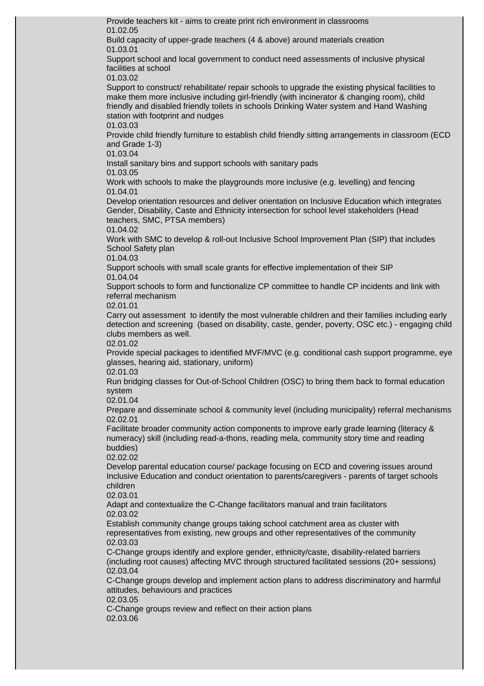Provide teachers kit - aims to create print rich environment in classrooms 01.02.05 Build capacity of upper-grade teachers (4 & above) around materials creation 01.03.01 Support school and local government to conduct need assessments of inclusive physical facilities at school 01.03.02 Support to construct/ rehabilitate/ repair schools to upgrade the existing physical facilities to make them more inclusive including girl-friendly (with incinerator & changing room), child friendly and disabled friendly toilets in schools Drinking Water system and Hand Washing station with footprint and nudges 01.03.03 Provide child friendly furniture to establish child friendly sitting arrangements in classroom (ECD and Grade 1-3) 01.03.04 Install sanitary bins and support schools with sanitary pads 01.03.05 Work with schools to make the playgrounds more inclusive (e.g. levelling) and fencing 01.04.01 Develop orientation resources and deliver orientation on Inclusive Education which integrates Gender, Disability, Caste and Ethnicity intersection for school level stakeholders (Head teachers, SMC, PTSA members) 01.04.02 Work with SMC to develop & roll-out Inclusive School Improvement Plan (SIP) that includes School Safety plan 01.04.03 Support schools with small scale grants for effective implementation of their SIP 01.04.04 Support schools to form and functionalize CP committee to handle CP incidents and link with referral mechanism 02.01.01 Carry out assessment to identify the most vulnerable children and their families including early detection and screening (based on disability, caste, gender, poverty, OSC etc.) - engaging child clubs members as well. 02.01.02 Provide special packages to identified MVF/MVC (e.g. conditional cash support programme, eye glasses, hearing aid, stationary, uniform) 02.01.03 Run bridging classes for Out-of-School Children (OSC) to bring them back to formal education system 02.01.04 Prepare and disseminate school & community level (including municipality) referral mechanisms 02.02.01 Facilitate broader community action components to improve early grade learning (literacy & numeracy) skill (including read-a-thons, reading mela, community story time and reading buddies) 02.02.02 Develop parental education course/ package focusing on ECD and covering issues around Inclusive Education and conduct orientation to parents/caregivers - parents of target schools children 02.03.01 Adapt and contextualize the C-Change facilitators manual and train facilitators 02.03.02 Establish community change groups taking school catchment area as cluster with representatives from existing, new groups and other representatives of the community 02.03.03 C-Change groups identify and explore gender, ethnicity/caste, disability-related barriers (including root causes) affecting MVC through structured facilitated sessions (20+ sessions) 02.03.04 C-Change groups develop and implement action plans to address discriminatory and harmful

attitudes, behaviours and practices

02.03.05

C-Change groups review and reflect on their action plans 02.03.06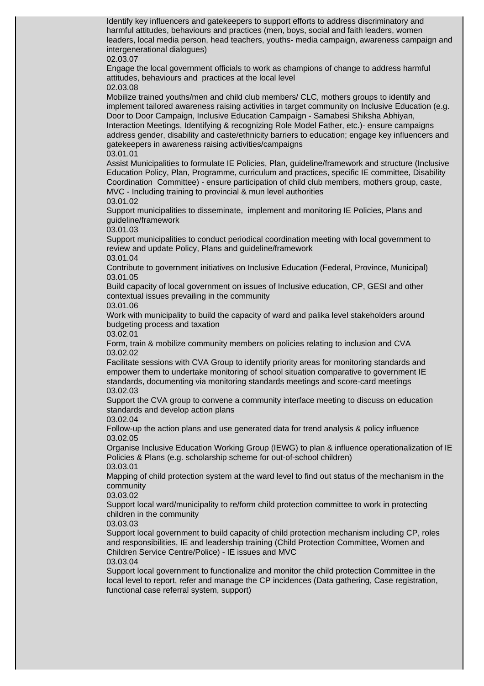Identify key influencers and gatekeepers to support efforts to address discriminatory and harmful attitudes, behaviours and practices (men, boys, social and faith leaders, women leaders, local media person, head teachers, youths- media campaign, awareness campaign and intergenerational dialogues)

## 02.03.07

Engage the local government officials to work as champions of change to address harmful attitudes, behaviours and practices at the local level 02.03.08

Mobilize trained youths/men and child club members/ CLC, mothers groups to identify and implement tailored awareness raising activities in target community on Inclusive Education (e.g. Door to Door Campaign, Inclusive Education Campaign - Samabesi Shiksha Abhiyan, Interaction Meetings, Identifying & recognizing Role Model Father, etc.)- ensure campaigns address gender, disability and caste/ethnicity barriers to education; engage key influencers and gatekeepers in awareness raising activities/campaigns 03.01.01

Assist Municipalities to formulate IE Policies, Plan, guideline/framework and structure (Inclusive Education Policy, Plan, Programme, curriculum and practices, specific IE committee, Disability Coordination Committee) - ensure participation of child club members, mothers group, caste, MVC - Including training to provincial & mun level authorities 03.01.02

Support municipalities to disseminate, implement and monitoring IE Policies, Plans and guideline/framework

03.01.03

Support municipalities to conduct periodical coordination meeting with local government to review and update Policy, Plans and guideline/framework 03.01.04

Contribute to government initiatives on Inclusive Education (Federal, Province, Municipal) 03.01.05

Build capacity of local government on issues of Inclusive education, CP, GESI and other contextual issues prevailing in the community

03.01.06

Work with municipality to build the capacity of ward and palika level stakeholders around budgeting process and taxation

03.02.01

Form, train & mobilize community members on policies relating to inclusion and CVA 03.02.02

Facilitate sessions with CVA Group to identify priority areas for monitoring standards and empower them to undertake monitoring of school situation comparative to government IE standards, documenting via monitoring standards meetings and score-card meetings 03.02.03

Support the CVA group to convene a community interface meeting to discuss on education standards and develop action plans

03.02.04

Follow-up the action plans and use generated data for trend analysis & policy influence 03.02.05

Organise Inclusive Education Working Group (IEWG) to plan & influence operationalization of IE Policies & Plans (e.g. scholarship scheme for out-of-school children) 03.03.01

Mapping of child protection system at the ward level to find out status of the mechanism in the community

03.03.02

Support local ward/municipality to re/form child protection committee to work in protecting children in the community

03.03.03

Support local government to build capacity of child protection mechanism including CP, roles and responsibilities, IE and leadership training (Child Protection Committee, Women and Children Service Centre/Police) - IE issues and MVC 03.03.04

Support local government to functionalize and monitor the child protection Committee in the local level to report, refer and manage the CP incidences (Data gathering, Case registration, functional case referral system, support)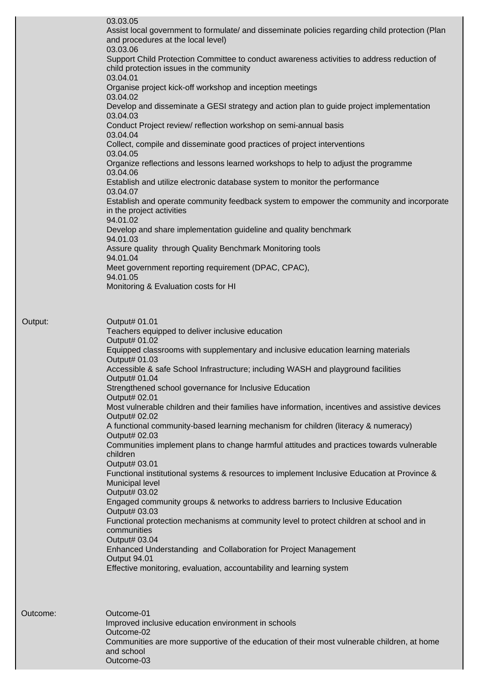| 03.03.05<br>Assist local government to formulate/ and disseminate policies regarding child protection (Plan<br>and procedures at the local level)  |
|----------------------------------------------------------------------------------------------------------------------------------------------------|
| 03.03.06<br>Support Child Protection Committee to conduct awareness activities to address reduction of<br>child protection issues in the community |
| 03.04.01<br>Organise project kick-off workshop and inception meetings                                                                              |
| 03.04.02<br>Develop and disseminate a GESI strategy and action plan to guide project implementation<br>03.04.03                                    |
| Conduct Project review/ reflection workshop on semi-annual basis<br>03.04.04                                                                       |
| Collect, compile and disseminate good practices of project interventions<br>03.04.05                                                               |
| Organize reflections and lessons learned workshops to help to adjust the programme<br>03.04.06                                                     |
| Establish and utilize electronic database system to monitor the performance<br>03.04.07                                                            |
| Establish and operate community feedback system to empower the community and incorporate<br>in the project activities<br>94.01.02                  |
| Develop and share implementation guideline and quality benchmark<br>94.01.03                                                                       |
| Assure quality through Quality Benchmark Monitoring tools<br>94.01.04                                                                              |
| Meet government reporting requirement (DPAC, CPAC),<br>94.01.05                                                                                    |
| Monitoring & Evaluation costs for HI                                                                                                               |
|                                                                                                                                                    |
| Output# 01.01<br>Teachers equipped to deliver inclusive education<br>Output# 01.02                                                                 |
| Equipped classrooms with supplementary and inclusive education learning materials<br>Output# 01.03                                                 |
| Accessible & safe School Infrastructure; including WASH and playground facilities<br>Output# 01.04                                                 |
| Strengthened school governance for Inclusive Education<br>Output# 02.01                                                                            |
| Most vulnerable children and their families have information, incentives and assistive devices<br>Output# 02.02                                    |
| A functional community-based learning mechanism for children (literacy & numeracy)<br>Output# 02.03                                                |
| Communities implement plans to change harmful attitudes and practices towards vulnerable<br>children                                               |
| Output# 03.01<br>Functional institutional systems & resources to implement Inclusive Education at Province &                                       |
| <b>Municipal level</b><br>Output# 03.02                                                                                                            |
| Engaged community groups & networks to address barriers to Inclusive Education<br>Output# 03.03                                                    |
| Functional protection mechanisms at community level to protect children at school and in<br>communities                                            |
| Output# 03.04<br>Enhanced Understanding and Collaboration for Project Management                                                                   |
| Output 94.01<br>Effective monitoring, evaluation, accountability and learning system                                                               |
|                                                                                                                                                    |
| Outcome-01<br>Improved inclusive education environment in schools                                                                                  |
| Outcome-02<br>Communities are more supportive of the education of their most vulnerable children, at home                                          |
| and school<br>Outcome-03                                                                                                                           |

Output:

Outcome: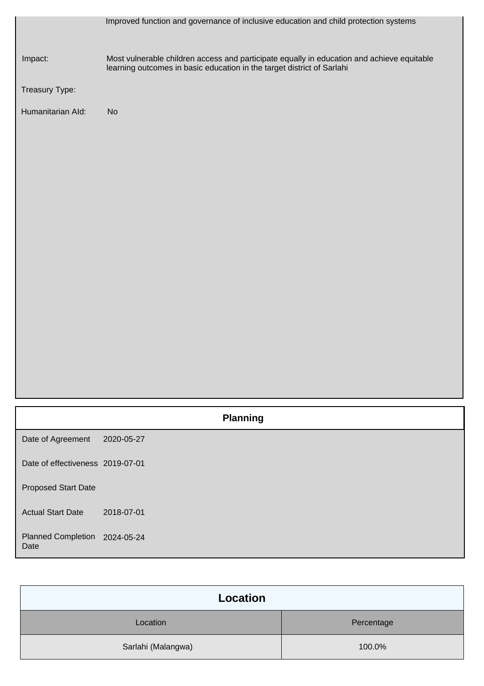|                                   | Improved function and governance of inclusive education and child protection systems                                                                                 |
|-----------------------------------|----------------------------------------------------------------------------------------------------------------------------------------------------------------------|
| Impact:                           | Most vulnerable children access and participate equally in education and achieve equitable<br>learning outcomes in basic education in the target district of Sarlahi |
| Treasury Type:                    |                                                                                                                                                                      |
| Humanitarian Ald:                 | No                                                                                                                                                                   |
|                                   |                                                                                                                                                                      |
|                                   |                                                                                                                                                                      |
|                                   |                                                                                                                                                                      |
|                                   |                                                                                                                                                                      |
|                                   |                                                                                                                                                                      |
|                                   |                                                                                                                                                                      |
|                                   |                                                                                                                                                                      |
|                                   |                                                                                                                                                                      |
|                                   |                                                                                                                                                                      |
|                                   |                                                                                                                                                                      |
|                                   |                                                                                                                                                                      |
|                                   |                                                                                                                                                                      |
|                                   |                                                                                                                                                                      |
|                                   | <b>Planning</b>                                                                                                                                                      |
| Date of Agreement                 | 2020-05-27                                                                                                                                                           |
| Date of effectiveness 2019-07-01  |                                                                                                                                                                      |
| <b>Proposed Start Date</b>        |                                                                                                                                                                      |
| <b>Actual Start Date</b>          | 2018-07-01                                                                                                                                                           |
| <b>Planned Completion</b><br>Date | 2024-05-24                                                                                                                                                           |

| Location           |            |
|--------------------|------------|
| Location           | Percentage |
| Sarlahi (Malangwa) | 100.0%     |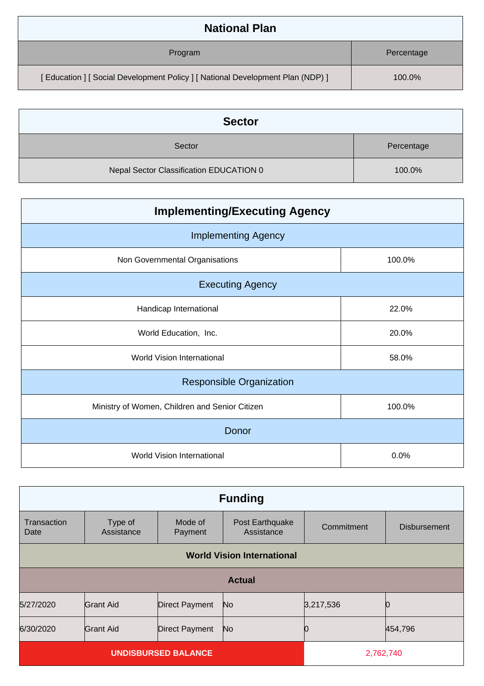| <b>National Plan</b>                                                         |            |
|------------------------------------------------------------------------------|------------|
| Program                                                                      | Percentage |
| [Education ] [Social Development Policy ] [National Development Plan (NDP) ] | 100.0%     |

| <b>Sector</b>                           |            |
|-----------------------------------------|------------|
| Sector                                  | Percentage |
| Nepal Sector Classification EDUCATION 0 | 100.0%     |

| <b>Implementing/Executing Agency</b>           |        |  |  |
|------------------------------------------------|--------|--|--|
| <b>Implementing Agency</b>                     |        |  |  |
| Non Governmental Organisations                 | 100.0% |  |  |
| <b>Executing Agency</b>                        |        |  |  |
| Handicap International                         | 22.0%  |  |  |
| World Education, Inc.                          | 20.0%  |  |  |
| <b>World Vision International</b>              | 58.0%  |  |  |
| <b>Responsible Organization</b>                |        |  |  |
| Ministry of Women, Children and Senior Citizen | 100.0% |  |  |
| Donor                                          |        |  |  |
| World Vision International                     | 0.0%   |  |  |

| <b>Funding</b>                          |                                   |                       |                               |            |                     |
|-----------------------------------------|-----------------------------------|-----------------------|-------------------------------|------------|---------------------|
| Transaction<br>Date                     | Type of<br>Assistance             | Mode of<br>Payment    | Post Earthquake<br>Assistance | Commitment | <b>Disbursement</b> |
|                                         | <b>World Vision International</b> |                       |                               |            |                     |
|                                         | <b>Actual</b>                     |                       |                               |            |                     |
| 5/27/2020                               | Grant Aid                         | <b>Direct Payment</b> | No.                           | 3,217,536  |                     |
| 6/30/2020                               | <b>Grant Aid</b>                  | <b>Direct Payment</b> | N <sub>o</sub>                |            | 454,796             |
| <b>UNDISBURSED BALANCE</b><br>2,762,740 |                                   |                       |                               |            |                     |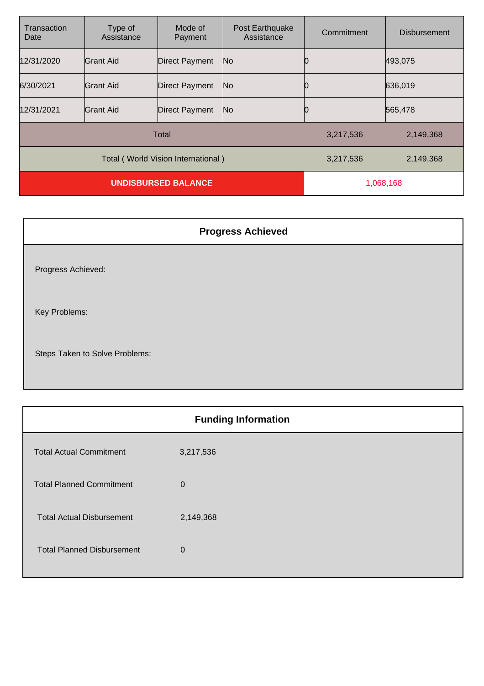| Transaction<br>Date                | Type of<br>Assistance | Mode of<br>Payment    | Post Earthquake<br>Assistance | Commitment | <b>Disbursement</b> |
|------------------------------------|-----------------------|-----------------------|-------------------------------|------------|---------------------|
| 12/31/2020                         | Grant Aid             | <b>Direct Payment</b> | No                            |            | 493,075             |
| 6/30/2021                          | <b>Grant Aid</b>      | <b>Direct Payment</b> | No                            |            | 636,019             |
| 12/31/2021                         | <b>Grant Aid</b>      | <b>Direct Payment</b> | No                            |            | 565,478             |
| Total                              |                       |                       | 3,217,536                     | 2,149,368  |                     |
| Total (World Vision International) |                       |                       | 3,217,536                     | 2,149,368  |                     |
| <b>UNDISBURSED BALANCE</b>         |                       |                       | 1,068,168                     |            |                     |

## **Progress Achieved** Progress Achieved: Key Problems: Steps Taken to Solve Problems:

| <b>Funding Information</b>        |             |  |
|-----------------------------------|-------------|--|
| <b>Total Actual Commitment</b>    | 3,217,536   |  |
| <b>Total Planned Commitment</b>   | $\mathbf 0$ |  |
| <b>Total Actual Disbursement</b>  | 2,149,368   |  |
| <b>Total Planned Disbursement</b> | $\mathbf 0$ |  |
|                                   |             |  |